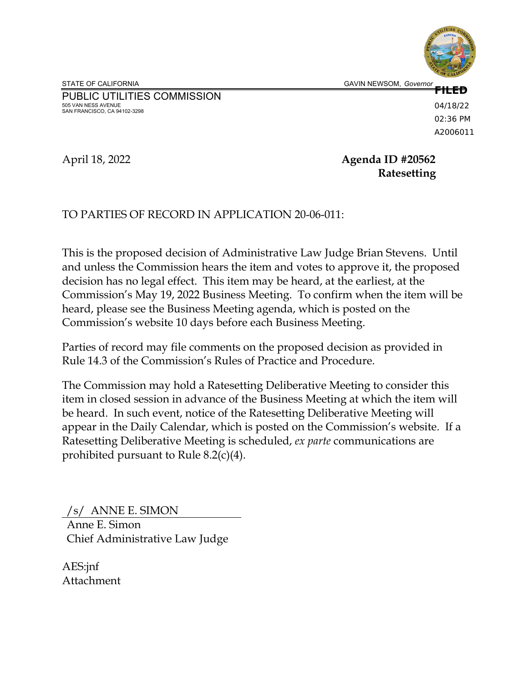PUBLIC UTILITIES COMMISSION 505 VAN NESS AVENUE SAN FRANCISCO, CA 94102-3298

**FILED** 04/18/22 02:36 PM A2006011

# April 18, 2022 **Agenda ID #20562 Ratesetting**

# TO PARTIES OF RECORD IN APPLICATION 20-06-011:

This is the proposed decision of Administrative Law Judge Brian Stevens. Until and unless the Commission hears the item and votes to approve it, the proposed decision has no legal effect. This item may be heard, at the earliest, at the Commission's May 19, 2022 Business Meeting. To confirm when the item will be heard, please see the Business Meeting agenda, which is posted on the Commission's website 10 days before each Business Meeting.

Parties of record may file comments on the proposed decision as provided in Rule 14.3 of the Commission's Rules of Practice and Procedure.

The Commission may hold a Ratesetting Deliberative Meeting to consider this item in closed session in advance of the Business Meeting at which the item will be heard. In such event, notice of the Ratesetting Deliberative Meeting will appear in the Daily Calendar, which is posted on the Commission's website. If a Ratesetting Deliberative Meeting is scheduled, *ex parte* communications are prohibited pursuant to Rule 8.2(c)(4).

/s/ ANNE E. SIMON Anne E. Simon Chief Administrative Law Judge

AES:jnf Attachment

STATE OF CALIFORNIA **GAVIN NEWSOM, Governor**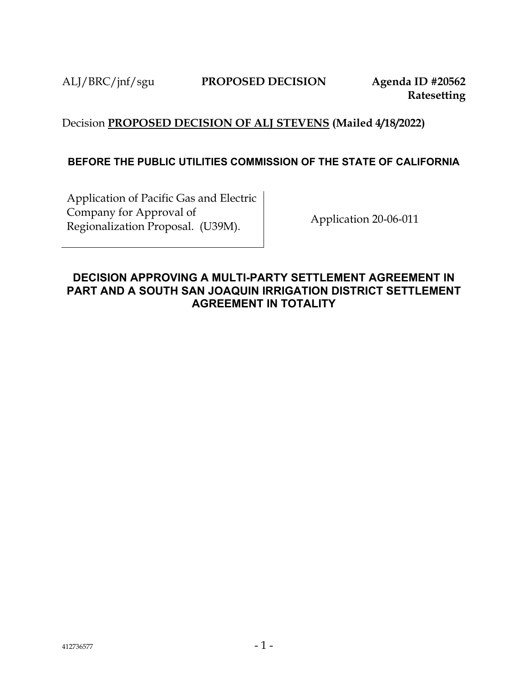# Decision **PROPOSED DECISION OF ALJ STEVENS (Mailed 4/18/2022)**

# **BEFORE THE PUBLIC UTILITIES COMMISSION OF THE STATE OF CALIFORNIA**

Application of Pacific Gas and Electric Company for Approval of Lompany for Approval of<br>Regionalization Proposal. (U39M). Application 20-06-011

# **DECISION APPROVING A MULTI-PARTY SETTLEMENT AGREEMENT IN PART AND A SOUTH SAN JOAQUIN IRRIGATION DISTRICT SETTLEMENT AGREEMENT IN TOTALITY**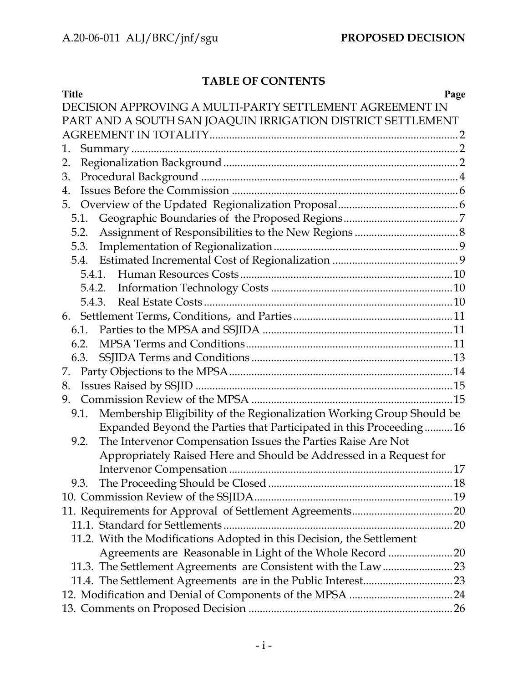# **TABLE OF CONTENTS**

| <b>Title</b><br>Page                                                          |
|-------------------------------------------------------------------------------|
| DECISION APPROVING A MULTI-PARTY SETTLEMENT AGREEMENT IN                      |
| PART AND A SOUTH SAN JOAQUIN IRRIGATION DISTRICT SETTLEMENT                   |
|                                                                               |
| 1.                                                                            |
| 2.                                                                            |
| 3.                                                                            |
| 4.                                                                            |
| 5.                                                                            |
|                                                                               |
| 5.2.                                                                          |
| 5.3.                                                                          |
|                                                                               |
|                                                                               |
|                                                                               |
| 5.4.3.                                                                        |
|                                                                               |
|                                                                               |
| 6.2.                                                                          |
|                                                                               |
| 7.                                                                            |
| 8.                                                                            |
| 9.                                                                            |
| Membership Eligibility of the Regionalization Working Group Should be<br>9.1. |
| Expanded Beyond the Parties that Participated in this Proceeding16            |
| The Intervenor Compensation Issues the Parties Raise Are Not<br>9.2.          |
| Appropriately Raised Here and Should be Addressed in a Request for            |
|                                                                               |
|                                                                               |
|                                                                               |
|                                                                               |
|                                                                               |
| 11.2. With the Modifications Adopted in this Decision, the Settlement         |
| Agreements are Reasonable in Light of the Whole Record 20                     |
|                                                                               |
|                                                                               |
|                                                                               |
|                                                                               |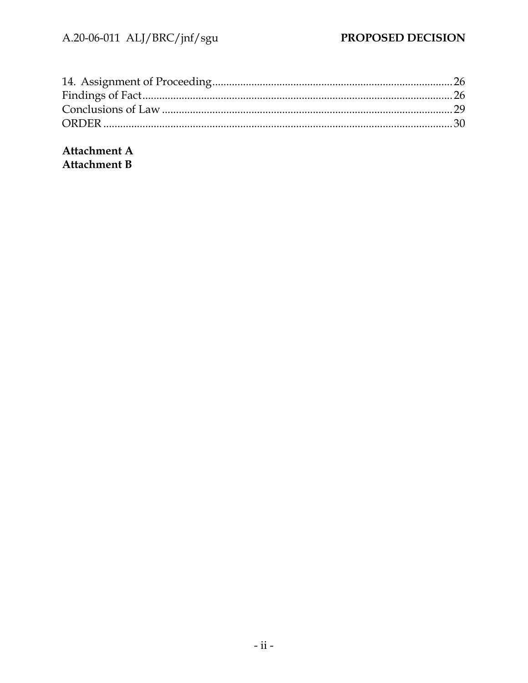Attachment A **Attachment B**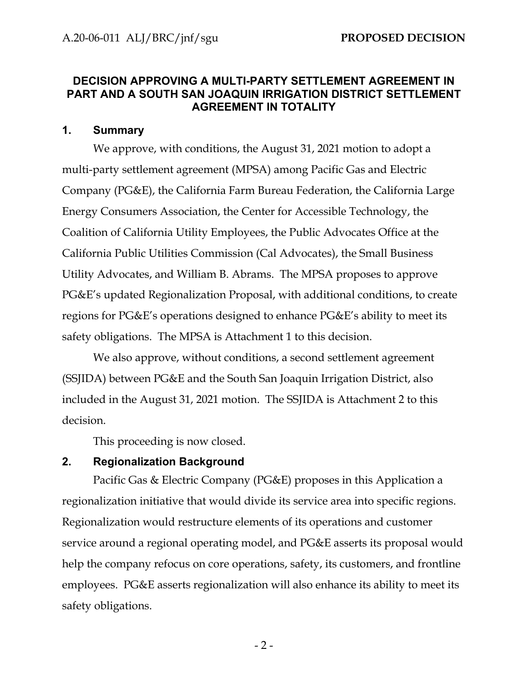# <span id="page-4-0"></span>**DECISION APPROVING A MULTI-PARTY SETTLEMENT AGREEMENT IN PART AND A SOUTH SAN JOAQUIN IRRIGATION DISTRICT SETTLEMENT AGREEMENT IN TOTALITY**

# <span id="page-4-1"></span>**1. Summary**

We approve, with conditions, the August 31, 2021 motion to adopt a multi-party settlement agreement (MPSA) among Pacific Gas and Electric Company (PG&E), the California Farm Bureau Federation, the California Large Energy Consumers Association, the Center for Accessible Technology, the Coalition of California Utility Employees, the Public Advocates Office at the California Public Utilities Commission (Cal Advocates), the Small Business Utility Advocates, and William B. Abrams. The MPSA proposes to approve PG&E's updated Regionalization Proposal, with additional conditions, to create regions for PG&E's operations designed to enhance PG&E's ability to meet its safety obligations. The MPSA is Attachment 1 to this decision.

We also approve, without conditions, a second settlement agreement (SSJIDA) between PG&E and the South San Joaquin Irrigation District, also included in the August 31, 2021 motion. The SSJIDA is Attachment 2 to this decision.

This proceeding is now closed.

# <span id="page-4-2"></span>**2. Regionalization Background**

Pacific Gas & Electric Company (PG&E) proposes in this Application a regionalization initiative that would divide its service area into specific regions. Regionalization would restructure elements of its operations and customer service around a regional operating model, and PG&E asserts its proposal would help the company refocus on core operations, safety, its customers, and frontline employees. PG&E asserts regionalization will also enhance its ability to meet its safety obligations.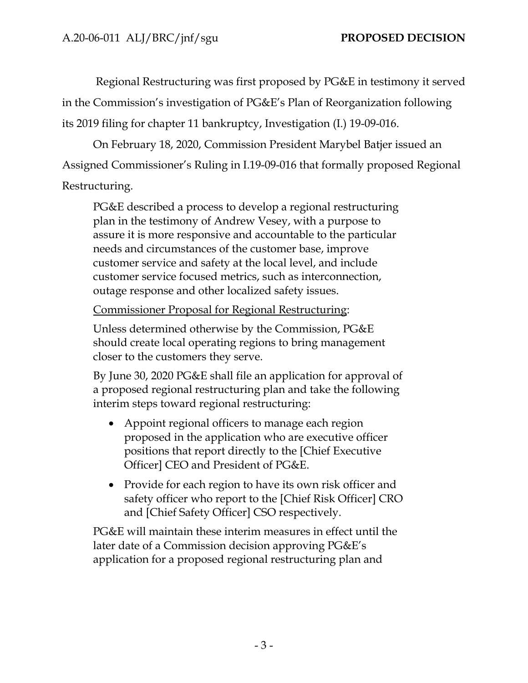Regional Restructuring was first proposed by PG&E in testimony it served in the Commission's investigation of PG&E's Plan of Reorganization following its 2019 filing for chapter 11 bankruptcy, Investigation (I.) 19-09-016.

On February 18, 2020, Commission President Marybel Batjer issued an Assigned Commissioner's Ruling in I.19-09-016 that formally proposed Regional Restructuring.

PG&E described a process to develop a regional restructuring plan in the testimony of Andrew Vesey, with a purpose to assure it is more responsive and accountable to the particular needs and circumstances of the customer base, improve customer service and safety at the local level, and include customer service focused metrics, such as interconnection, outage response and other localized safety issues.

Commissioner Proposal for Regional Restructuring:

Unless determined otherwise by the Commission, PG&E should create local operating regions to bring management closer to the customers they serve.

By June 30, 2020 PG&E shall file an application for approval of a proposed regional restructuring plan and take the following interim steps toward regional restructuring:

- Appoint regional officers to manage each region proposed in the application who are executive officer positions that report directly to the [Chief Executive Officer] CEO and President of PG&E.
- Provide for each region to have its own risk officer and safety officer who report to the [Chief Risk Officer] CRO and [Chief Safety Officer] CSO respectively.

PG&E will maintain these interim measures in effect until the later date of a Commission decision approving PG&E's application for a proposed regional restructuring plan and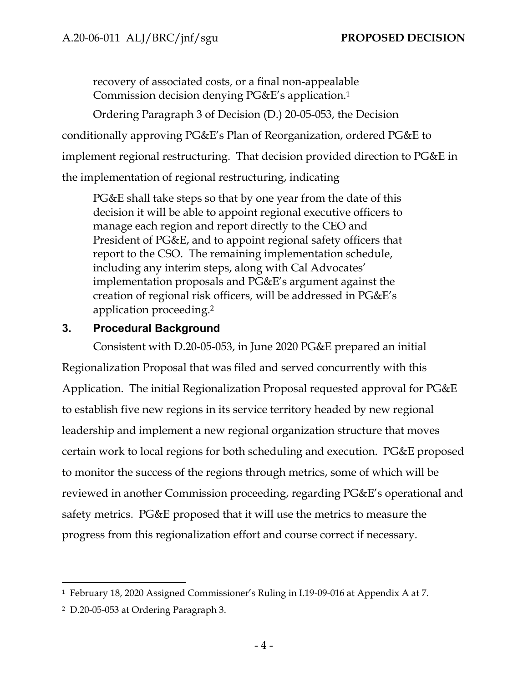recovery of associated costs, or a final non-appealable Commission decision denying PG&E's application.<sup>1</sup>

Ordering Paragraph 3 of Decision (D.) 20-05-053, the Decision conditionally approving PG&E's Plan of Reorganization, ordered PG&E to implement regional restructuring. That decision provided direction to PG&E in the implementation of regional restructuring, indicating

PG&E shall take steps so that by one year from the date of this decision it will be able to appoint regional executive officers to manage each region and report directly to the CEO and President of PG&E, and to appoint regional safety officers that report to the CSO. The remaining implementation schedule, including any interim steps, along with Cal Advocates' implementation proposals and PG&E's argument against the creation of regional risk officers, will be addressed in PG&E's application proceeding.<sup>2</sup>

# <span id="page-6-0"></span>**3. Procedural Background**

Consistent with D.20-05-053, in June 2020 PG&E prepared an initial Regionalization Proposal that was filed and served concurrently with this Application. The initial Regionalization Proposal requested approval for PG&E to establish five new regions in its service territory headed by new regional leadership and implement a new regional organization structure that moves certain work to local regions for both scheduling and execution. PG&E proposed to monitor the success of the regions through metrics, some of which will be reviewed in another Commission proceeding, regarding PG&E's operational and safety metrics. PG&E proposed that it will use the metrics to measure the progress from this regionalization effort and course correct if necessary.

<sup>1</sup> February 18, 2020 Assigned Commissioner's Ruling in I.19-09-016 at Appendix A at 7.

<sup>2</sup> D.20-05-053 at Ordering Paragraph 3.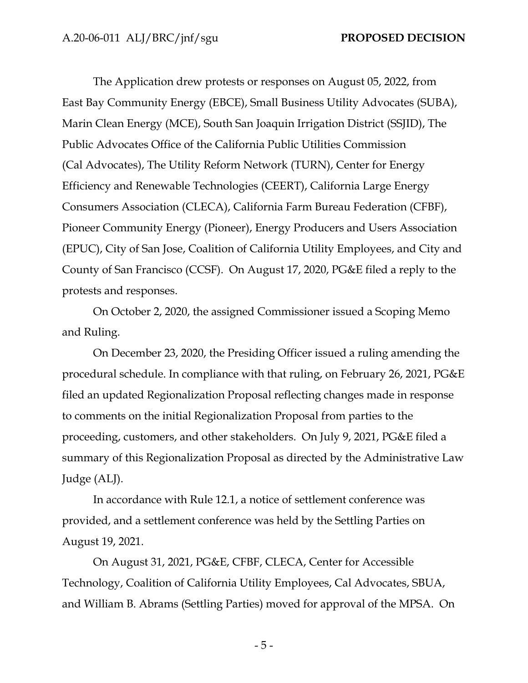The Application drew protests or responses on August 05, 2022, from East Bay Community Energy (EBCE), Small Business Utility Advocates (SUBA), Marin Clean Energy (MCE), South San Joaquin Irrigation District (SSJID), The Public Advocates Office of the California Public Utilities Commission (Cal Advocates), The Utility Reform Network (TURN), Center for Energy Efficiency and Renewable Technologies (CEERT), California Large Energy Consumers Association (CLECA), California Farm Bureau Federation (CFBF), Pioneer Community Energy (Pioneer), Energy Producers and Users Association (EPUC), City of San Jose, Coalition of California Utility Employees, and City and County of San Francisco (CCSF). On August 17, 2020, PG&E filed a reply to the protests and responses.

On October 2, 2020, the assigned Commissioner issued a Scoping Memo and Ruling.

On December 23, 2020, the Presiding Officer issued a ruling amending the procedural schedule. In compliance with that ruling, on February 26, 2021, PG&E filed an updated Regionalization Proposal reflecting changes made in response to comments on the initial Regionalization Proposal from parties to the proceeding, customers, and other stakeholders. On July 9, 2021, PG&E filed a summary of this Regionalization Proposal as directed by the Administrative Law Judge (ALJ).

In accordance with Rule 12.1, a notice of settlement conference was provided, and a settlement conference was held by the Settling Parties on August 19, 2021.

On August 31, 2021, PG&E, CFBF, CLECA, Center for Accessible Technology, Coalition of California Utility Employees, Cal Advocates, SBUA, and William B. Abrams (Settling Parties) moved for approval of the MPSA. On

- 5 -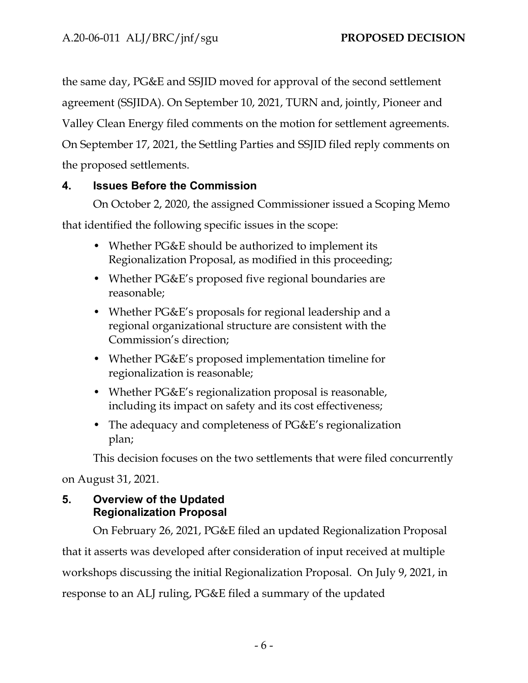the same day, PG&E and SSJID moved for approval of the second settlement agreement (SSJIDA). On September 10, 2021, TURN and, jointly, Pioneer and Valley Clean Energy filed comments on the motion for settlement agreements. On September 17, 2021, the Settling Parties and SSJID filed reply comments on the proposed settlements.

# <span id="page-8-0"></span>**4. Issues Before the Commission**

On October 2, 2020, the assigned Commissioner issued a Scoping Memo

that identified the following specific issues in the scope:

- Whether PG&E should be authorized to implement its Regionalization Proposal, as modified in this proceeding;
- Whether PG&E's proposed five regional boundaries are reasonable;
- Whether PG&E's proposals for regional leadership and a regional organizational structure are consistent with the Commission's direction;
- Whether PG&E's proposed implementation timeline for regionalization is reasonable;
- Whether PG&E's regionalization proposal is reasonable, including its impact on safety and its cost effectiveness;
- The adequacy and completeness of PG&E's regionalization plan;

This decision focuses on the two settlements that were filed concurrently

on August 31, 2021.

# <span id="page-8-1"></span>**5. Overview of the Updated Regionalization Proposal**

On February 26, 2021, PG&E filed an updated Regionalization Proposal that it asserts was developed after consideration of input received at multiple workshops discussing the initial Regionalization Proposal. On July 9, 2021, in response to an ALJ ruling, PG&E filed a summary of the updated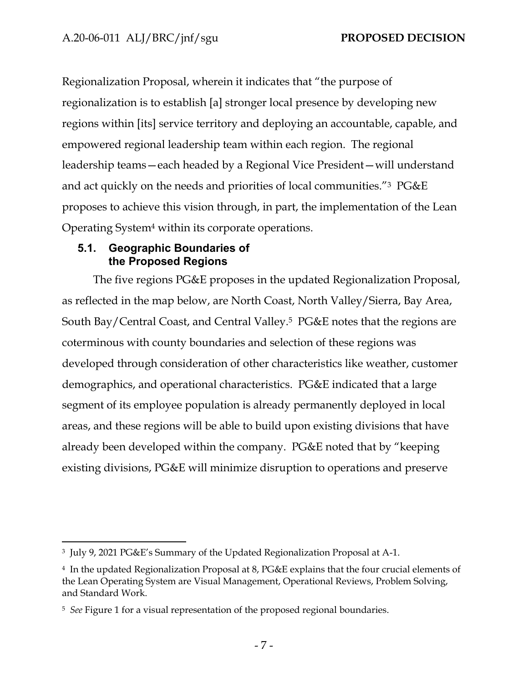Regionalization Proposal, wherein it indicates that "the purpose of regionalization is to establish [a] stronger local presence by developing new regions within [its] service territory and deploying an accountable, capable, and empowered regional leadership team within each region. The regional leadership teams—each headed by a Regional Vice President—will understand and act quickly on the needs and priorities of local communities."<sup>3</sup> PG&E proposes to achieve this vision through, in part, the implementation of the Lean Operating System<sup>4</sup> within its corporate operations.

## <span id="page-9-0"></span>**5.1. Geographic Boundaries of the Proposed Regions**

The five regions PG&E proposes in the updated Regionalization Proposal, as reflected in the map below, are North Coast, North Valley/Sierra, Bay Area, South Bay/Central Coast, and Central Valley.<sup>5</sup> PG&E notes that the regions are coterminous with county boundaries and selection of these regions was developed through consideration of other characteristics like weather, customer demographics, and operational characteristics. PG&E indicated that a large segment of its employee population is already permanently deployed in local areas, and these regions will be able to build upon existing divisions that have already been developed within the company. PG&E noted that by "keeping existing divisions, PG&E will minimize disruption to operations and preserve

<sup>3</sup> July 9, 2021 PG&E's Summary of the Updated Regionalization Proposal at A-1.

<sup>4</sup> In the updated Regionalization Proposal at 8, PG&E explains that the four crucial elements of the Lean Operating System are Visual Management, Operational Reviews, Problem Solving, and Standard Work.

<sup>5</sup> *See* Figure 1 for a visual representation of the proposed regional boundaries.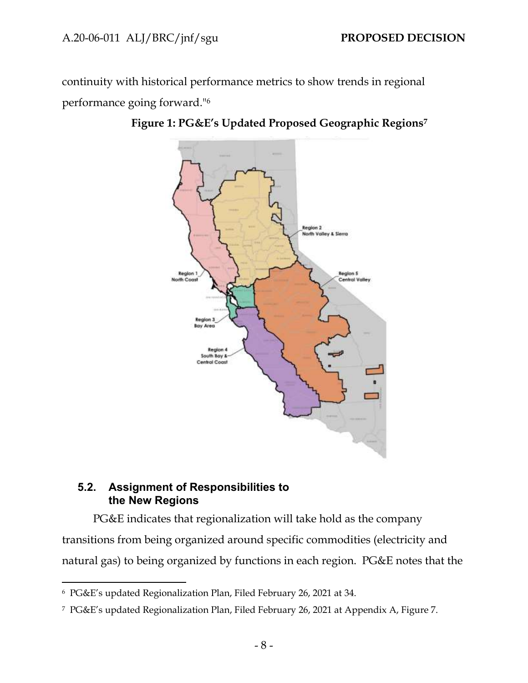continuity with historical performance metrics to show trends in regional performance going forward."<sup>6</sup>



**Figure 1: PG&E's Updated Proposed Geographic Regions<sup>7</sup>**

# <span id="page-10-0"></span>**5.2. Assignment of Responsibilities to the New Regions**

PG&E indicates that regionalization will take hold as the company transitions from being organized around specific commodities (electricity and natural gas) to being organized by functions in each region. PG&E notes that the

<sup>6</sup> PG&E's updated Regionalization Plan, Filed February 26, 2021 at 34.

<sup>7</sup> PG&E's updated Regionalization Plan, Filed February 26, 2021 at Appendix A, Figure 7.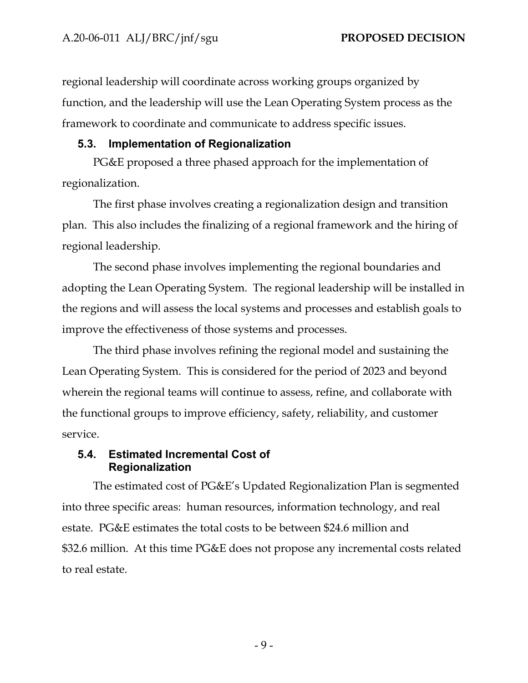regional leadership will coordinate across working groups organized by function, and the leadership will use the Lean Operating System process as the framework to coordinate and communicate to address specific issues.

## <span id="page-11-0"></span>**5.3. Implementation of Regionalization**

PG&E proposed a three phased approach for the implementation of regionalization.

The first phase involves creating a regionalization design and transition plan. This also includes the finalizing of a regional framework and the hiring of regional leadership.

The second phase involves implementing the regional boundaries and adopting the Lean Operating System. The regional leadership will be installed in the regions and will assess the local systems and processes and establish goals to improve the effectiveness of those systems and processes.

The third phase involves refining the regional model and sustaining the Lean Operating System. This is considered for the period of 2023 and beyond wherein the regional teams will continue to assess, refine, and collaborate with the functional groups to improve efficiency, safety, reliability, and customer service.

# <span id="page-11-1"></span>**5.4. Estimated Incremental Cost of Regionalization**

The estimated cost of PG&E's Updated Regionalization Plan is segmented into three specific areas: human resources, information technology, and real estate. PG&E estimates the total costs to be between \$24.6 million and \$32.6 million. At this time PG&E does not propose any incremental costs related to real estate.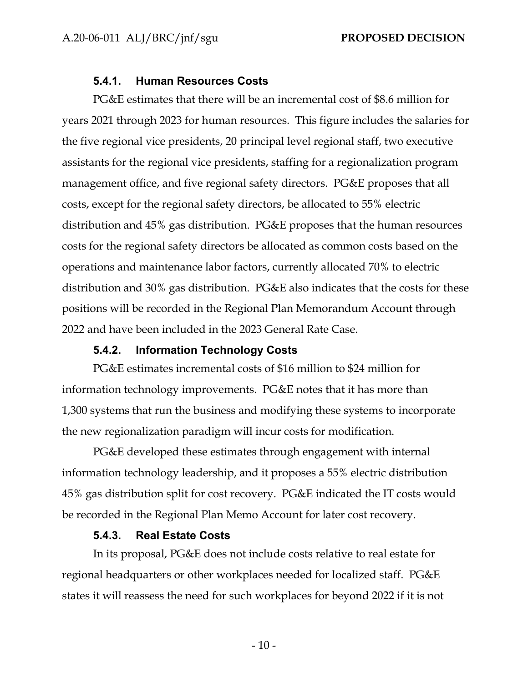### **5.4.1. Human Resources Costs**

<span id="page-12-0"></span>PG&E estimates that there will be an incremental cost of \$8.6 million for years 2021 through 2023 for human resources. This figure includes the salaries for the five regional vice presidents, 20 principal level regional staff, two executive assistants for the regional vice presidents, staffing for a regionalization program management office, and five regional safety directors. PG&E proposes that all costs, except for the regional safety directors, be allocated to 55% electric distribution and 45% gas distribution. PG&E proposes that the human resources costs for the regional safety directors be allocated as common costs based on the operations and maintenance labor factors, currently allocated 70% to electric distribution and 30% gas distribution. PG&E also indicates that the costs for these positions will be recorded in the Regional Plan Memorandum Account through 2022 and have been included in the 2023 General Rate Case.

## **5.4.2. Information Technology Costs**

<span id="page-12-1"></span>PG&E estimates incremental costs of \$16 million to \$24 million for information technology improvements. PG&E notes that it has more than 1,300 systems that run the business and modifying these systems to incorporate the new regionalization paradigm will incur costs for modification.

PG&E developed these estimates through engagement with internal information technology leadership, and it proposes a 55% electric distribution 45% gas distribution split for cost recovery. PG&E indicated the IT costs would be recorded in the Regional Plan Memo Account for later cost recovery.

#### **5.4.3. Real Estate Costs**

<span id="page-12-2"></span>In its proposal, PG&E does not include costs relative to real estate for regional headquarters or other workplaces needed for localized staff. PG&E states it will reassess the need for such workplaces for beyond 2022 if it is not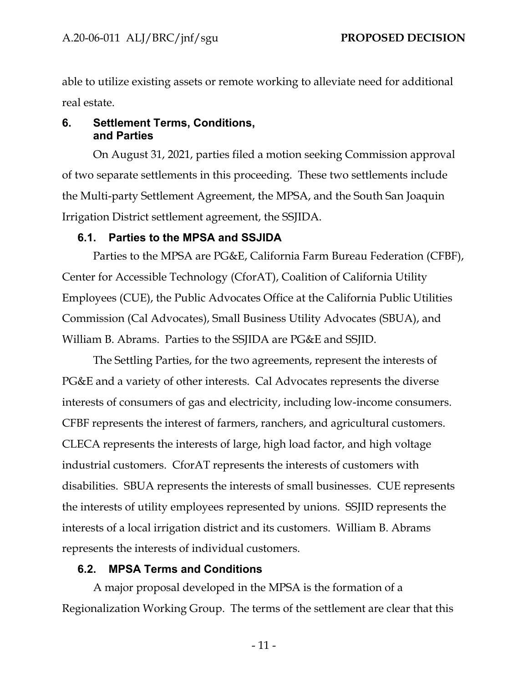able to utilize existing assets or remote working to alleviate need for additional real estate.

## <span id="page-13-0"></span>**6. Settlement Terms, Conditions, and Parties**

On August 31, 2021, parties filed a motion seeking Commission approval of two separate settlements in this proceeding. These two settlements include the Multi-party Settlement Agreement, the MPSA, and the South San Joaquin Irrigation District settlement agreement, the SSJIDA.

# <span id="page-13-1"></span>**6.1. Parties to the MPSA and SSJIDA**

Parties to the MPSA are PG&E, California Farm Bureau Federation (CFBF), Center for Accessible Technology (CforAT), Coalition of California Utility Employees (CUE), the Public Advocates Office at the California Public Utilities Commission (Cal Advocates), Small Business Utility Advocates (SBUA), and William B. Abrams. Parties to the SSJIDA are PG&E and SSJID.

The Settling Parties, for the two agreements, represent the interests of PG&E and a variety of other interests. Cal Advocates represents the diverse interests of consumers of gas and electricity, including low-income consumers. CFBF represents the interest of farmers, ranchers, and agricultural customers. CLECA represents the interests of large, high load factor, and high voltage industrial customers. CforAT represents the interests of customers with disabilities. SBUA represents the interests of small businesses. CUE represents the interests of utility employees represented by unions. SSJID represents the interests of a local irrigation district and its customers. William B. Abrams represents the interests of individual customers.

# <span id="page-13-2"></span>**6.2. MPSA Terms and Conditions**

A major proposal developed in the MPSA is the formation of a Regionalization Working Group. The terms of the settlement are clear that this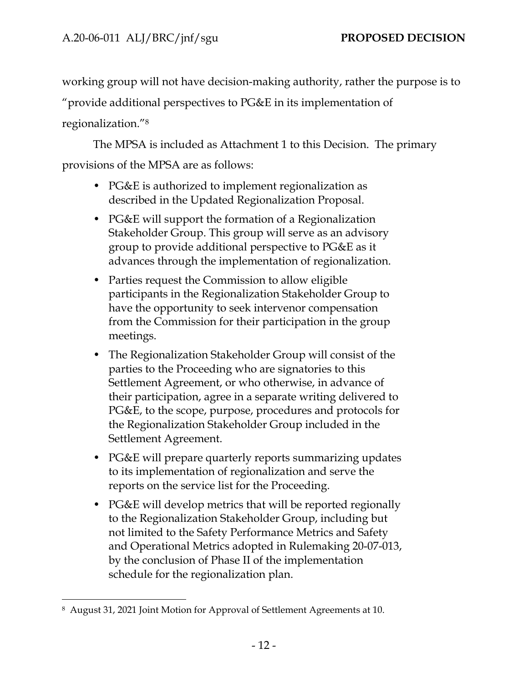working group will not have decision-making authority, rather the purpose is to

"provide additional perspectives to  $PGEE$  in its implementation of

regionalization."<sup>8</sup>

The MPSA is included as Attachment 1 to this Decision. The primary provisions of the MPSA are as follows:

- PG&E is authorized to implement regionalization as described in the Updated Regionalization Proposal.
- PG&E will support the formation of a Regionalization Stakeholder Group. This group will serve as an advisory group to provide additional perspective to PG&E as it advances through the implementation of regionalization.
- Parties request the Commission to allow eligible participants in the Regionalization Stakeholder Group to have the opportunity to seek intervenor compensation from the Commission for their participation in the group meetings.
- The Regionalization Stakeholder Group will consist of the parties to the Proceeding who are signatories to this Settlement Agreement, or who otherwise, in advance of their participation, agree in a separate writing delivered to PG&E, to the scope, purpose, procedures and protocols for the Regionalization Stakeholder Group included in the Settlement Agreement.
- PG&E will prepare quarterly reports summarizing updates to its implementation of regionalization and serve the reports on the service list for the Proceeding.
- PG&E will develop metrics that will be reported regionally to the Regionalization Stakeholder Group, including but not limited to the Safety Performance Metrics and Safety and Operational Metrics adopted in Rulemaking 20-07-013, by the conclusion of Phase II of the implementation schedule for the regionalization plan.

<sup>8</sup> August 31, 2021 Joint Motion for Approval of Settlement Agreements at 10.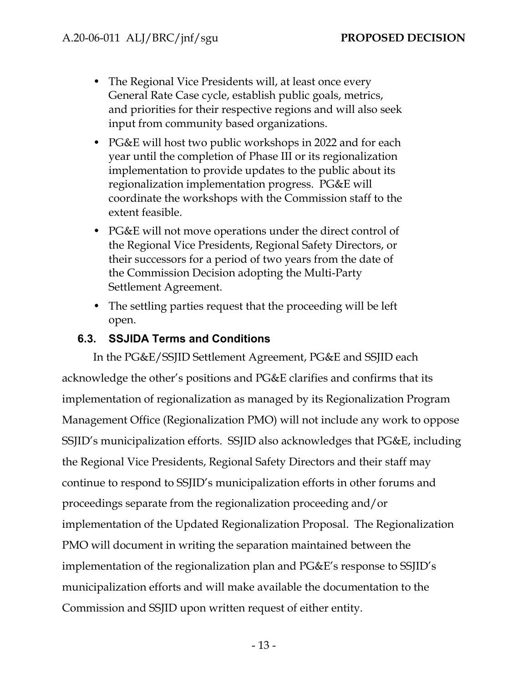- The Regional Vice Presidents will, at least once every General Rate Case cycle, establish public goals, metrics, and priorities for their respective regions and will also seek input from community based organizations.
- PG&E will host two public workshops in 2022 and for each year until the completion of Phase III or its regionalization implementation to provide updates to the public about its regionalization implementation progress. PG&E will coordinate the workshops with the Commission staff to the extent feasible.
- PG&E will not move operations under the direct control of the Regional Vice Presidents, Regional Safety Directors, or their successors for a period of two years from the date of the Commission Decision adopting the Multi-Party Settlement Agreement.
- The settling parties request that the proceeding will be left open.

# <span id="page-15-0"></span>**6.3. SSJIDA Terms and Conditions**

In the PG&E/SSJID Settlement Agreement, PG&E and SSJID each acknowledge the other's positions and PG&E clarifies and confirms that its implementation of regionalization as managed by its Regionalization Program Management Office (Regionalization PMO) will not include any work to oppose SSJID's municipalization efforts. SSJID also acknowledges that PG&E, including the Regional Vice Presidents, Regional Safety Directors and their staff may continue to respond to SSJID's municipalization efforts in other forums and proceedings separate from the regionalization proceeding and/or implementation of the Updated Regionalization Proposal. The Regionalization PMO will document in writing the separation maintained between the implementation of the regionalization plan and PG&E's response to SSJID's municipalization efforts and will make available the documentation to the Commission and SSJID upon written request of either entity.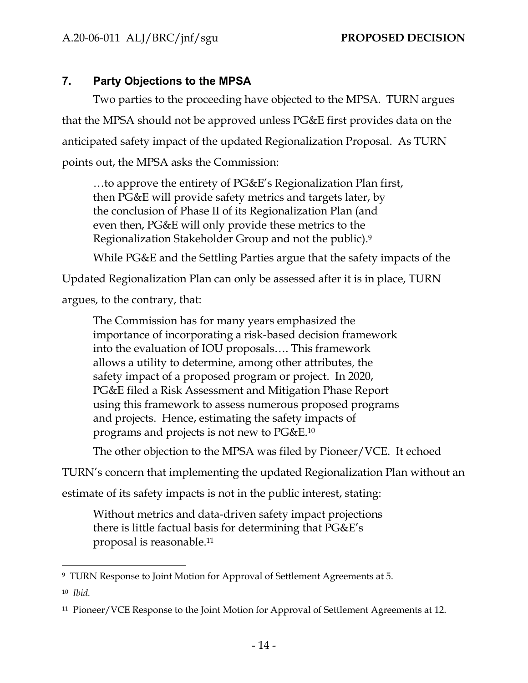# <span id="page-16-0"></span>**7. Party Objections to the MPSA**

Two parties to the proceeding have objected to the MPSA. TURN argues that the MPSA should not be approved unless PG&E first provides data on the anticipated safety impact of the updated Regionalization Proposal. As TURN points out, the MPSA asks the Commission:

…to approve the entirety of PG&E's Regionalization Plan first, then PG&E will provide safety metrics and targets later, by the conclusion of Phase II of its Regionalization Plan (and even then, PG&E will only provide these metrics to the Regionalization Stakeholder Group and not the public).<sup>9</sup>

While PG&E and the Settling Parties argue that the safety impacts of the

Updated Regionalization Plan can only be assessed after it is in place, TURN

argues, to the contrary, that:

The Commission has for many years emphasized the importance of incorporating a risk-based decision framework into the evaluation of IOU proposals…. This framework allows a utility to determine, among other attributes, the safety impact of a proposed program or project. In 2020, PG&E filed a Risk Assessment and Mitigation Phase Report using this framework to assess numerous proposed programs and projects. Hence, estimating the safety impacts of programs and projects is not new to PG&E.<sup>10</sup>

The other objection to the MPSA was filed by Pioneer/VCE. It echoed

TURN's concern that implementing the updated Regionalization Plan without an

estimate of its safety impacts is not in the public interest, stating:

Without metrics and data-driven safety impact projections there is little factual basis for determining that PG&E's proposal is reasonable.<sup>11</sup>

<sup>9</sup> TURN Response to Joint Motion for Approval of Settlement Agreements at 5.

<sup>10</sup> *Ibid.*

<sup>&</sup>lt;sup>11</sup> Pioneer/VCE Response to the Joint Motion for Approval of Settlement Agreements at 12.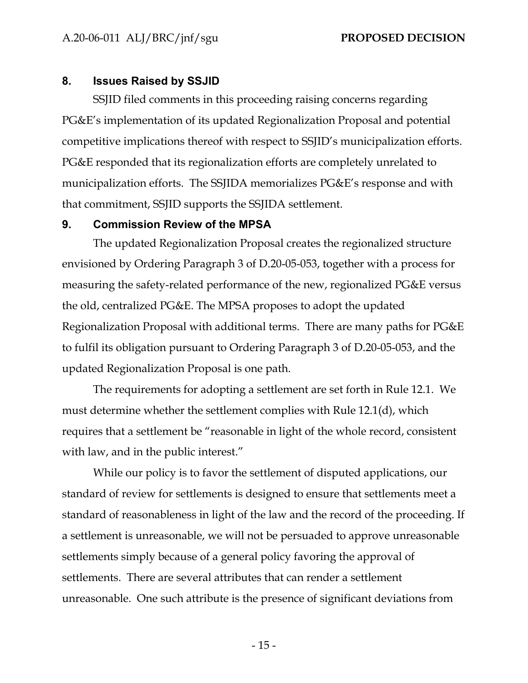#### <span id="page-17-0"></span>**8. Issues Raised by SSJID**

SSJID filed comments in this proceeding raising concerns regarding PG&E's implementation of its updated Regionalization Proposal and potential competitive implications thereof with respect to SSJID's municipalization efforts. PG&E responded that its regionalization efforts are completely unrelated to municipalization efforts. The SSJIDA memorializes PG&E's response and with that commitment, SSJID supports the SSJIDA settlement.

#### <span id="page-17-1"></span>**9. Commission Review of the MPSA**

The updated Regionalization Proposal creates the regionalized structure envisioned by Ordering Paragraph 3 of D.20-05-053, together with a process for measuring the safety-related performance of the new, regionalized PG&E versus the old, centralized PG&E. The MPSA proposes to adopt the updated Regionalization Proposal with additional terms. There are many paths for PG&E to fulfil its obligation pursuant to Ordering Paragraph 3 of D.20-05-053, and the updated Regionalization Proposal is one path.

The requirements for adopting a settlement are set forth in Rule 12.1. We must determine whether the settlement complies with Rule 12.1(d), which requires that a settlement be "reasonable in light of the whole record, consistent with law, and in the public interest."

While our policy is to favor the settlement of disputed applications, our standard of review for settlements is designed to ensure that settlements meet a standard of reasonableness in light of the law and the record of the proceeding. If a settlement is unreasonable, we will not be persuaded to approve unreasonable settlements simply because of a general policy favoring the approval of settlements. There are several attributes that can render a settlement unreasonable. One such attribute is the presence of significant deviations from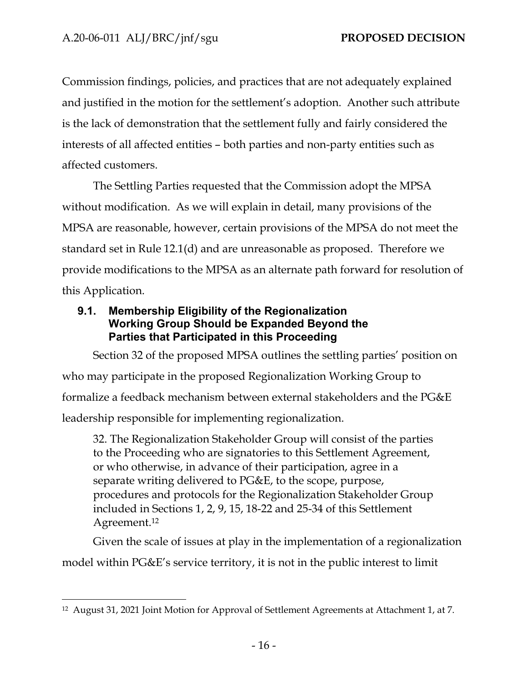Commission findings, policies, and practices that are not adequately explained and justified in the motion for the settlement's adoption. Another such attribute is the lack of demonstration that the settlement fully and fairly considered the interests of all affected entities – both parties and non-party entities such as affected customers.

The Settling Parties requested that the Commission adopt the MPSA without modification. As we will explain in detail, many provisions of the MPSA are reasonable, however, certain provisions of the MPSA do not meet the standard set in Rule 12.1(d) and are unreasonable as proposed. Therefore we provide modifications to the MPSA as an alternate path forward for resolution of this Application.

# <span id="page-18-0"></span>**9.1. Membership Eligibility of the Regionalization Working Group Should be Expanded Beyond the Parties that Participated in this Proceeding**

Section 32 of the proposed MPSA outlines the settling parties' position on who may participate in the proposed Regionalization Working Group to formalize a feedback mechanism between external stakeholders and the PG&E leadership responsible for implementing regionalization.

32. The Regionalization Stakeholder Group will consist of the parties to the Proceeding who are signatories to this Settlement Agreement, or who otherwise, in advance of their participation, agree in a separate writing delivered to PG&E, to the scope, purpose, procedures and protocols for the Regionalization Stakeholder Group included in Sections 1, 2, 9, 15, 18-22 and 25-34 of this Settlement Agreement.<sup>12</sup>

Given the scale of issues at play in the implementation of a regionalization model within PG&E's service territory, it is not in the public interest to limit

<sup>12</sup> August 31, 2021 Joint Motion for Approval of Settlement Agreements at Attachment 1, at 7.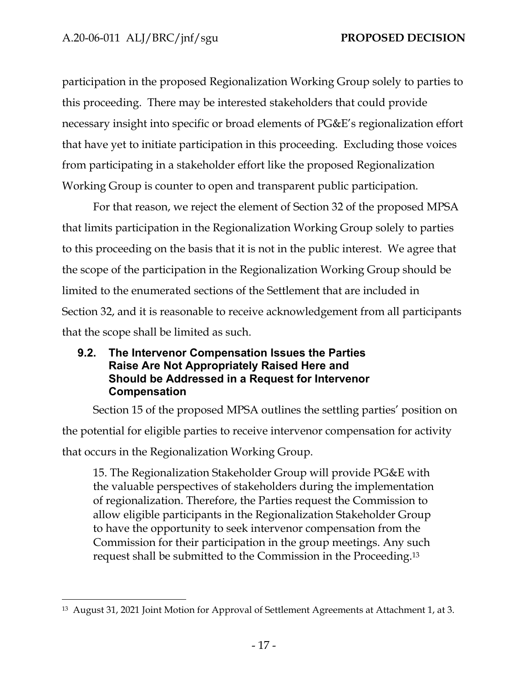participation in the proposed Regionalization Working Group solely to parties to this proceeding. There may be interested stakeholders that could provide necessary insight into specific or broad elements of PG&E's regionalization effort that have yet to initiate participation in this proceeding. Excluding those voices from participating in a stakeholder effort like the proposed Regionalization Working Group is counter to open and transparent public participation.

For that reason, we reject the element of Section 32 of the proposed MPSA that limits participation in the Regionalization Working Group solely to parties to this proceeding on the basis that it is not in the public interest. We agree that the scope of the participation in the Regionalization Working Group should be limited to the enumerated sections of the Settlement that are included in Section 32, and it is reasonable to receive acknowledgement from all participants that the scope shall be limited as such.

# <span id="page-19-0"></span>**9.2. The Intervenor Compensation Issues the Parties Raise Are Not Appropriately Raised Here and Should be Addressed in a Request for Intervenor Compensation**

Section 15 of the proposed MPSA outlines the settling parties' position on the potential for eligible parties to receive intervenor compensation for activity that occurs in the Regionalization Working Group.

15. The Regionalization Stakeholder Group will provide PG&E with the valuable perspectives of stakeholders during the implementation of regionalization. Therefore, the Parties request the Commission to allow eligible participants in the Regionalization Stakeholder Group to have the opportunity to seek intervenor compensation from the Commission for their participation in the group meetings. Any such request shall be submitted to the Commission in the Proceeding.<sup>13</sup>

<sup>13</sup> August 31, 2021 Joint Motion for Approval of Settlement Agreements at Attachment 1, at 3.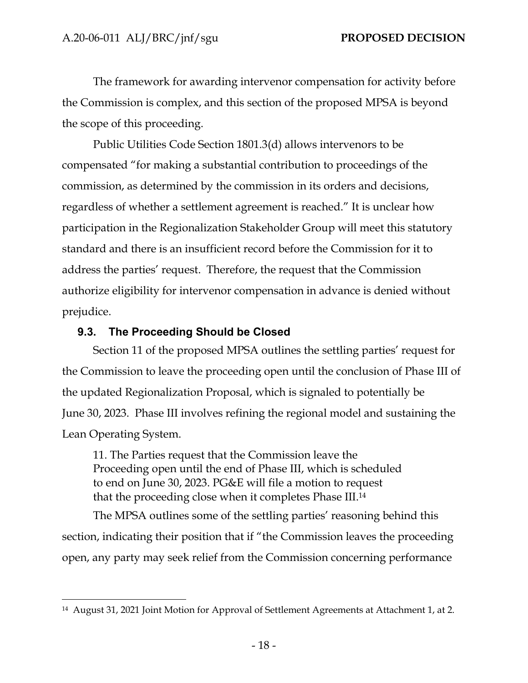The framework for awarding intervenor compensation for activity before the Commission is complex, and this section of the proposed MPSA is beyond the scope of this proceeding.

Public Utilities Code Section 1801.3(d) allows intervenors to be compensated "for making a substantial contribution to proceedings of the commission, as determined by the commission in its orders and decisions, regardless of whether a settlement agreement is reached." It is unclear how participation in the Regionalization Stakeholder Group will meet this statutory standard and there is an insufficient record before the Commission for it to address the parties' request. Therefore, the request that the Commission authorize eligibility for intervenor compensation in advance is denied without prejudice.

## <span id="page-20-0"></span>**9.3. The Proceeding Should be Closed**

Section 11 of the proposed MPSA outlines the settling parties' request for the Commission to leave the proceeding open until the conclusion of Phase III of the updated Regionalization Proposal, which is signaled to potentially be June 30, 2023. Phase III involves refining the regional model and sustaining the Lean Operating System.

11. The Parties request that the Commission leave the Proceeding open until the end of Phase III, which is scheduled to end on June 30, 2023. PG&E will file a motion to request that the proceeding close when it completes Phase III.<sup>14</sup>

The MPSA outlines some of the settling parties' reasoning behind this section, indicating their position that if "the Commission leaves the proceeding open, any party may seek relief from the Commission concerning performance

<sup>14</sup> August 31, 2021 Joint Motion for Approval of Settlement Agreements at Attachment 1, at 2.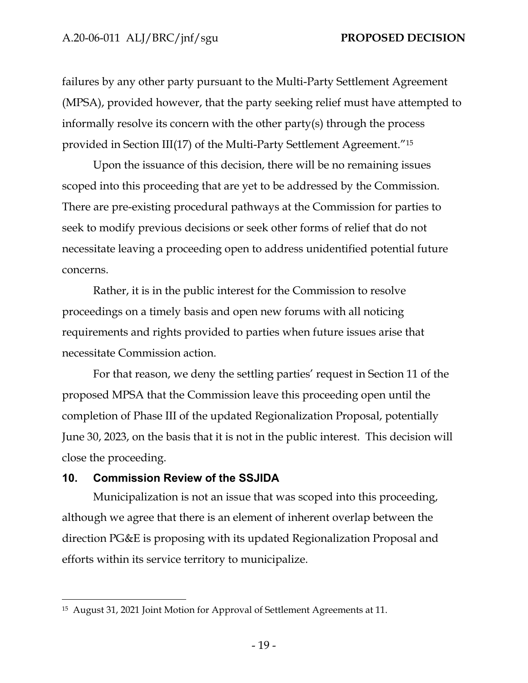failures by any other party pursuant to the Multi-Party Settlement Agreement (MPSA), provided however, that the party seeking relief must have attempted to informally resolve its concern with the other party(s) through the process provided in Section III(17) of the Multi-Party Settlement Agreement."<sup>15</sup>

Upon the issuance of this decision, there will be no remaining issues scoped into this proceeding that are yet to be addressed by the Commission. There are pre-existing procedural pathways at the Commission for parties to seek to modify previous decisions or seek other forms of relief that do not necessitate leaving a proceeding open to address unidentified potential future concerns.

Rather, it is in the public interest for the Commission to resolve proceedings on a timely basis and open new forums with all noticing requirements and rights provided to parties when future issues arise that necessitate Commission action.

For that reason, we deny the settling parties' request in Section 11 of the proposed MPSA that the Commission leave this proceeding open until the completion of Phase III of the updated Regionalization Proposal, potentially June 30, 2023, on the basis that it is not in the public interest. This decision will close the proceeding.

#### <span id="page-21-0"></span>**10. Commission Review of the SSJIDA**

Municipalization is not an issue that was scoped into this proceeding, although we agree that there is an element of inherent overlap between the direction PG&E is proposing with its updated Regionalization Proposal and efforts within its service territory to municipalize.

<sup>15</sup> August 31, 2021 Joint Motion for Approval of Settlement Agreements at 11.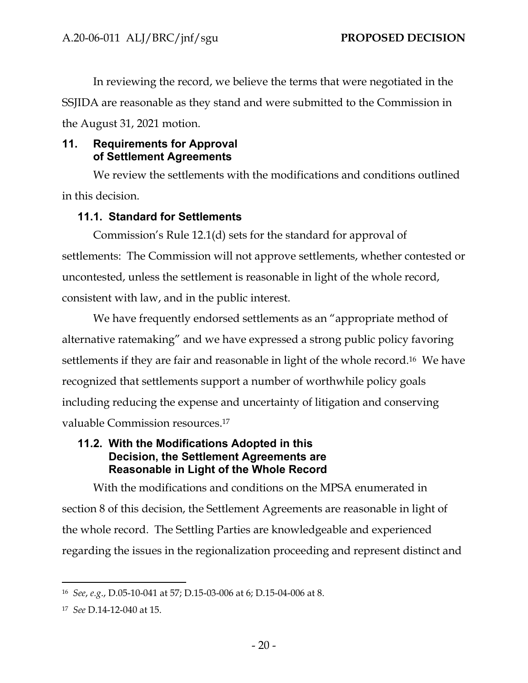In reviewing the record, we believe the terms that were negotiated in the SSJIDA are reasonable as they stand and were submitted to the Commission in the August 31, 2021 motion.

# <span id="page-22-0"></span>**11. Requirements for Approval of Settlement Agreements**

We review the settlements with the modifications and conditions outlined in this decision.

# **11.1. Standard for Settlements**

<span id="page-22-1"></span>Commission's Rule 12.1(d) sets for the standard for approval of settlements: The Commission will not approve settlements, whether contested or uncontested, unless the settlement is reasonable in light of the whole record, consistent with law, and in the public interest.

We have frequently endorsed settlements as an "appropriate method of alternative ratemaking" and we have expressed a strong public policy favoring settlements if they are fair and reasonable in light of the whole record.16 We have recognized that settlements support a number of worthwhile policy goals including reducing the expense and uncertainty of litigation and conserving valuable Commission resources.<sup>17</sup>

# <span id="page-22-2"></span>**11.2. With the Modifications Adopted in this Decision, the Settlement Agreements are Reasonable in Light of the Whole Record**

With the modifications and conditions on the MPSA enumerated in section 8 of this decision, the Settlement Agreements are reasonable in light of the whole record. The Settling Parties are knowledgeable and experienced regarding the issues in the regionalization proceeding and represent distinct and

<sup>16</sup> *See*, *e.g*., D.05-10-041 at 57; D.15-03-006 at 6; D.15-04-006 at 8.

<sup>17</sup> *See* D.14-12-040 at 15.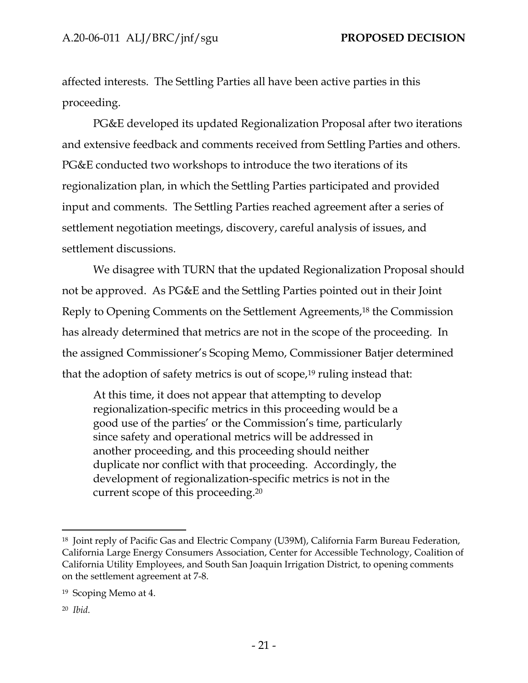affected interests. The Settling Parties all have been active parties in this proceeding.

PG&E developed its updated Regionalization Proposal after two iterations and extensive feedback and comments received from Settling Parties and others. PG&E conducted two workshops to introduce the two iterations of its regionalization plan, in which the Settling Parties participated and provided input and comments. The Settling Parties reached agreement after a series of settlement negotiation meetings, discovery, careful analysis of issues, and settlement discussions.

We disagree with TURN that the updated Regionalization Proposal should not be approved. As PG&E and the Settling Parties pointed out in their Joint Reply to Opening Comments on the Settlement Agreements,<sup>18</sup> the Commission has already determined that metrics are not in the scope of the proceeding. In the assigned Commissioner's Scoping Memo, Commissioner Batjer determined that the adoption of safety metrics is out of scope, $19$  ruling instead that:

At this time, it does not appear that attempting to develop regionalization-specific metrics in this proceeding would be a good use of the parties' or the Commission's time, particularly since safety and operational metrics will be addressed in another proceeding, and this proceeding should neither duplicate nor conflict with that proceeding. Accordingly, the development of regionalization-specific metrics is not in the current scope of this proceeding.<sup>20</sup>

20 *Ibid.*

<sup>18</sup> Joint reply of Pacific Gas and Electric Company (U39M), California Farm Bureau Federation, California Large Energy Consumers Association, Center for Accessible Technology, Coalition of California Utility Employees, and South San Joaquin Irrigation District, to opening comments on the settlement agreement at 7-8.

<sup>19</sup> Scoping Memo at 4.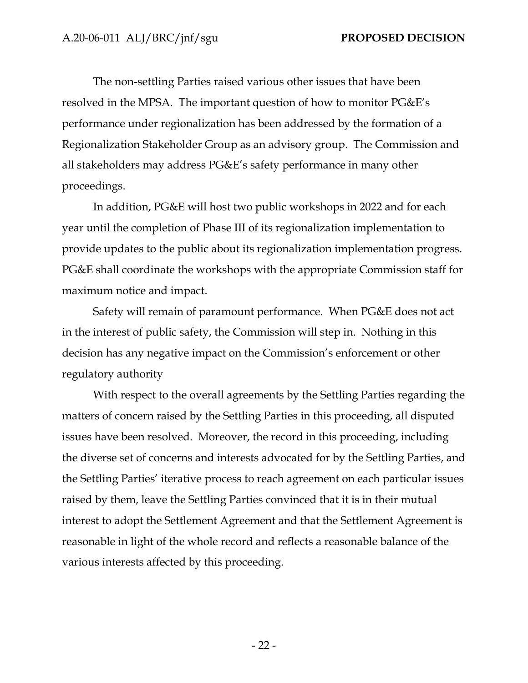The non-settling Parties raised various other issues that have been resolved in the MPSA. The important question of how to monitor PG&E's performance under regionalization has been addressed by the formation of a Regionalization Stakeholder Group as an advisory group. The Commission and all stakeholders may address PG&E's safety performance in many other proceedings.

In addition, PG&E will host two public workshops in 2022 and for each year until the completion of Phase III of its regionalization implementation to provide updates to the public about its regionalization implementation progress. PG&E shall coordinate the workshops with the appropriate Commission staff for maximum notice and impact.

Safety will remain of paramount performance. When PG&E does not act in the interest of public safety, the Commission will step in. Nothing in this decision has any negative impact on the Commission's enforcement or other regulatory authority

With respect to the overall agreements by the Settling Parties regarding the matters of concern raised by the Settling Parties in this proceeding, all disputed issues have been resolved. Moreover, the record in this proceeding, including the diverse set of concerns and interests advocated for by the Settling Parties, and the Settling Parties' iterative process to reach agreement on each particular issues raised by them, leave the Settling Parties convinced that it is in their mutual interest to adopt the Settlement Agreement and that the Settlement Agreement is reasonable in light of the whole record and reflects a reasonable balance of the various interests affected by this proceeding.

- 22 -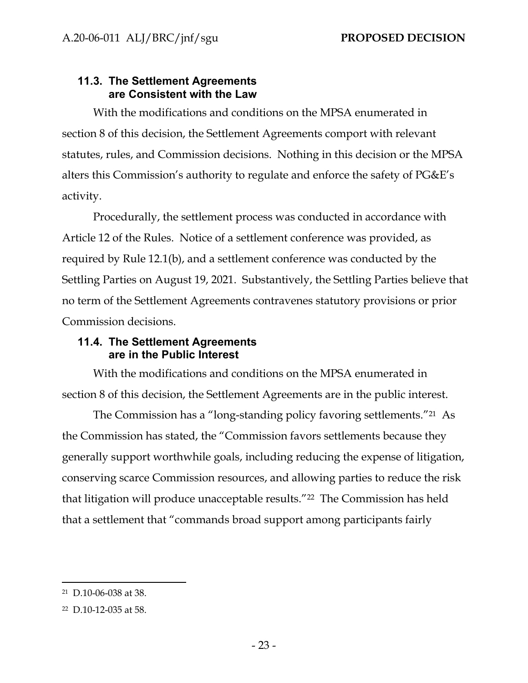# <span id="page-25-0"></span>**11.3. The Settlement Agreements are Consistent with the Law**

With the modifications and conditions on the MPSA enumerated in section 8 of this decision, the Settlement Agreements comport with relevant statutes, rules, and Commission decisions. Nothing in this decision or the MPSA alters this Commission's authority to regulate and enforce the safety of PG&E's activity.

Procedurally, the settlement process was conducted in accordance with Article 12 of the Rules. Notice of a settlement conference was provided, as required by Rule 12.1(b), and a settlement conference was conducted by the Settling Parties on August 19, 2021. Substantively, the Settling Parties believe that no term of the Settlement Agreements contravenes statutory provisions or prior Commission decisions.

# <span id="page-25-1"></span>**11.4. The Settlement Agreements are in the Public Interest**

With the modifications and conditions on the MPSA enumerated in section 8 of this decision, the Settlement Agreements are in the public interest.

The Commission has a "long-standing policy favoring settlements."<sup>21</sup> As the Commission has stated, the "Commission favors settlements because they generally support worthwhile goals, including reducing the expense of litigation, conserving scarce Commission resources, and allowing parties to reduce the risk that litigation will produce unacceptable results."<sup>22</sup> The Commission has held that a settlement that "commands broad support among participants fairly

<sup>21</sup> D.10-06-038 at 38.

<sup>22</sup> D.10-12-035 at 58.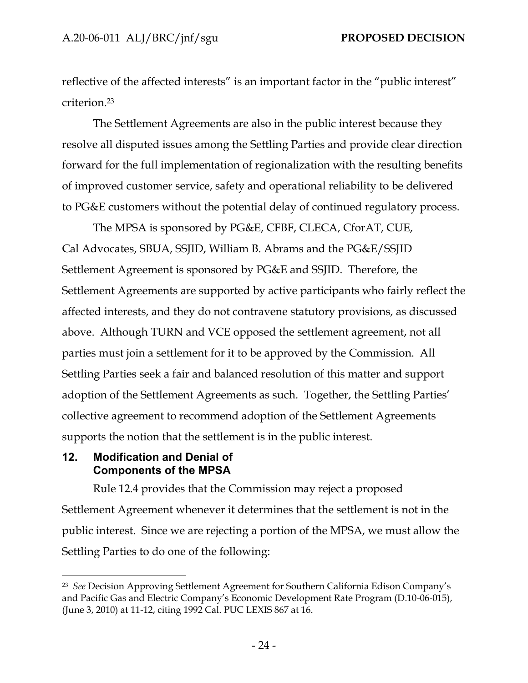reflective of the affected interests" is an important factor in the "public interest" criterion.<sup>23</sup>

The Settlement Agreements are also in the public interest because they resolve all disputed issues among the Settling Parties and provide clear direction forward for the full implementation of regionalization with the resulting benefits of improved customer service, safety and operational reliability to be delivered to PG&E customers without the potential delay of continued regulatory process.

The MPSA is sponsored by PG&E, CFBF, CLECA, CforAT, CUE, Cal Advocates, SBUA, SSJID, William B. Abrams and the PG&E/SSJID Settlement Agreement is sponsored by PG&E and SSJID. Therefore, the Settlement Agreements are supported by active participants who fairly reflect the affected interests, and they do not contravene statutory provisions, as discussed above. Although TURN and VCE opposed the settlement agreement, not all parties must join a settlement for it to be approved by the Commission. All Settling Parties seek a fair and balanced resolution of this matter and support adoption of the Settlement Agreements as such. Together, the Settling Parties' collective agreement to recommend adoption of the Settlement Agreements supports the notion that the settlement is in the public interest.

## <span id="page-26-0"></span>**12. Modification and Denial of Components of the MPSA**

Rule 12.4 provides that the Commission may reject a proposed Settlement Agreement whenever it determines that the settlement is not in the public interest. Since we are rejecting a portion of the MPSA, we must allow the Settling Parties to do one of the following:

<sup>23</sup> *See* Decision Approving Settlement Agreement for Southern California Edison Company's and Pacific Gas and Electric Company's Economic Development Rate Program (D.10-06-015), (June 3, 2010) at 11-12, citing 1992 Cal. PUC LEXIS 867 at 16.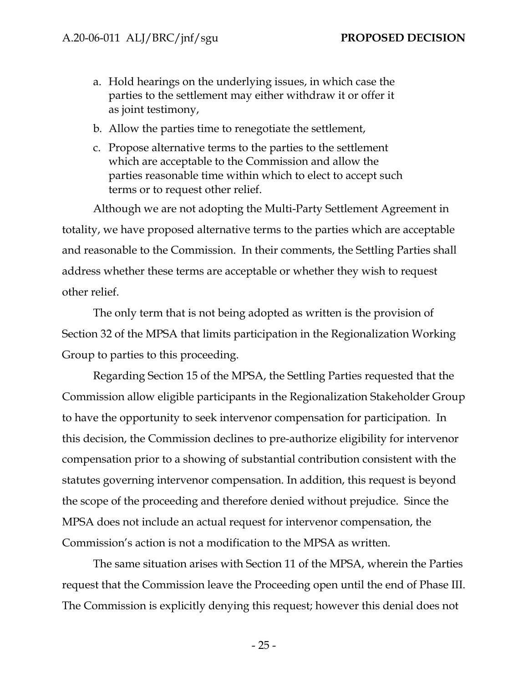- a. Hold hearings on the underlying issues, in which case the parties to the settlement may either withdraw it or offer it as joint testimony,
- b. Allow the parties time to renegotiate the settlement,
- c. Propose alternative terms to the parties to the settlement which are acceptable to the Commission and allow the parties reasonable time within which to elect to accept such terms or to request other relief.

Although we are not adopting the Multi-Party Settlement Agreement in totality, we have proposed alternative terms to the parties which are acceptable and reasonable to the Commission. In their comments, the Settling Parties shall address whether these terms are acceptable or whether they wish to request other relief.

The only term that is not being adopted as written is the provision of Section 32 of the MPSA that limits participation in the Regionalization Working Group to parties to this proceeding.

Regarding Section 15 of the MPSA, the Settling Parties requested that the Commission allow eligible participants in the Regionalization Stakeholder Group to have the opportunity to seek intervenor compensation for participation. In this decision, the Commission declines to pre-authorize eligibility for intervenor compensation prior to a showing of substantial contribution consistent with the statutes governing intervenor compensation. In addition, this request is beyond the scope of the proceeding and therefore denied without prejudice. Since the MPSA does not include an actual request for intervenor compensation, the Commission's action is not a modification to the MPSA as written.

The same situation arises with Section 11 of the MPSA, wherein the Parties request that the Commission leave the Proceeding open until the end of Phase III. The Commission is explicitly denying this request; however this denial does not

- 25 -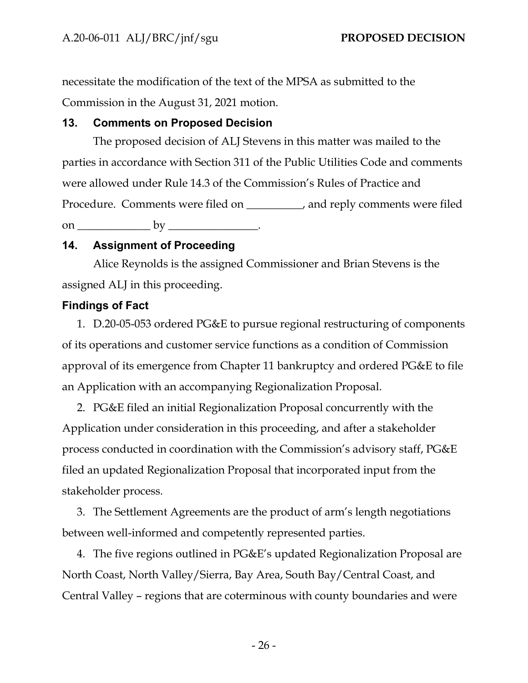necessitate the modification of the text of the MPSA as submitted to the Commission in the August 31, 2021 motion.

# <span id="page-28-0"></span>**13. Comments on Proposed Decision**

The proposed decision of ALJ Stevens in this matter was mailed to the parties in accordance with Section 311 of the Public Utilities Code and comments were allowed under Rule 14.3 of the Commission's Rules of Practice and Procedure. Comments were filed on \_\_\_\_\_\_\_\_\_\_, and reply comments were filed on \_\_\_\_\_\_\_\_\_\_\_\_\_ by \_\_\_\_\_\_\_\_\_\_\_\_\_\_\_\_.

# <span id="page-28-1"></span>**14. Assignment of Proceeding**

Alice Reynolds is the assigned Commissioner and Brian Stevens is the assigned ALJ in this proceeding.

# <span id="page-28-2"></span>**Findings of Fact**

1. D.20-05-053 ordered PG&E to pursue regional restructuring of components of its operations and customer service functions as a condition of Commission approval of its emergence from Chapter 11 bankruptcy and ordered PG&E to file an Application with an accompanying Regionalization Proposal.

2. PG&E filed an initial Regionalization Proposal concurrently with the Application under consideration in this proceeding, and after a stakeholder process conducted in coordination with the Commission's advisory staff, PG&E filed an updated Regionalization Proposal that incorporated input from the stakeholder process.

3. The Settlement Agreements are the product of arm's length negotiations between well-informed and competently represented parties.

4. The five regions outlined in PG&E's updated Regionalization Proposal are North Coast, North Valley/Sierra, Bay Area, South Bay/Central Coast, and Central Valley – regions that are coterminous with county boundaries and were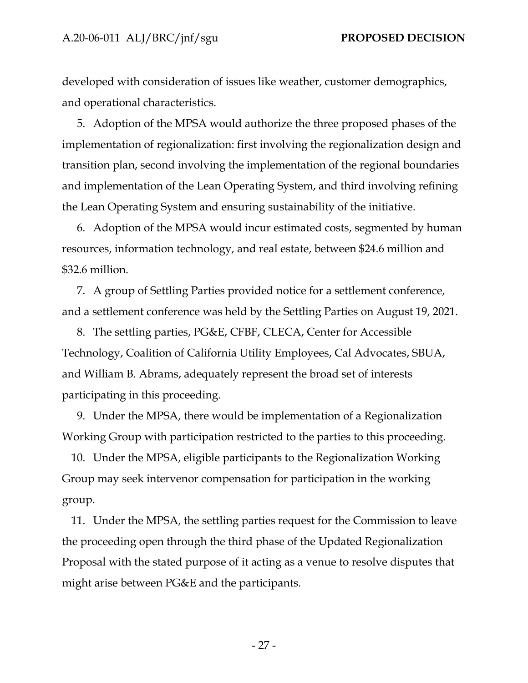developed with consideration of issues like weather, customer demographics, and operational characteristics.

5. Adoption of the MPSA would authorize the three proposed phases of the implementation of regionalization: first involving the regionalization design and transition plan, second involving the implementation of the regional boundaries and implementation of the Lean Operating System, and third involving refining the Lean Operating System and ensuring sustainability of the initiative.

6. Adoption of the MPSA would incur estimated costs, segmented by human resources, information technology, and real estate, between \$24.6 million and \$32.6 million.

7. A group of Settling Parties provided notice for a settlement conference, and a settlement conference was held by the Settling Parties on August 19, 2021.

8. The settling parties, PG&E, CFBF, CLECA, Center for Accessible Technology, Coalition of California Utility Employees, Cal Advocates, SBUA, and William B. Abrams, adequately represent the broad set of interests participating in this proceeding.

9. Under the MPSA, there would be implementation of a Regionalization Working Group with participation restricted to the parties to this proceeding.

10. Under the MPSA, eligible participants to the Regionalization Working Group may seek intervenor compensation for participation in the working group.

11. Under the MPSA, the settling parties request for the Commission to leave the proceeding open through the third phase of the Updated Regionalization Proposal with the stated purpose of it acting as a venue to resolve disputes that might arise between PG&E and the participants.

- 27 -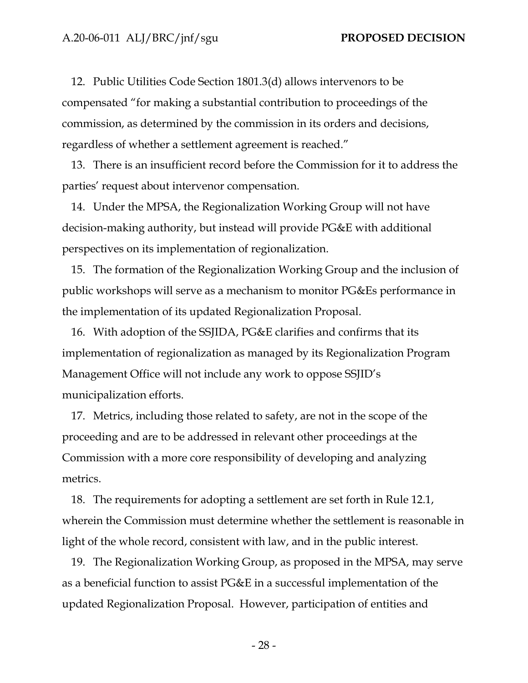12. Public Utilities Code Section 1801.3(d) allows intervenors to be compensated "for making a substantial contribution to proceedings of the commission, as determined by the commission in its orders and decisions, regardless of whether a settlement agreement is reached."

13. There is an insufficient record before the Commission for it to address the parties' request about intervenor compensation.

14. Under the MPSA, the Regionalization Working Group will not have decision-making authority, but instead will provide PG&E with additional perspectives on its implementation of regionalization.

15. The formation of the Regionalization Working Group and the inclusion of public workshops will serve as a mechanism to monitor PG&Es performance in the implementation of its updated Regionalization Proposal.

16. With adoption of the SSJIDA, PG&E clarifies and confirms that its implementation of regionalization as managed by its Regionalization Program Management Office will not include any work to oppose SSJID's municipalization efforts.

17. Metrics, including those related to safety, are not in the scope of the proceeding and are to be addressed in relevant other proceedings at the Commission with a more core responsibility of developing and analyzing metrics.

18. The requirements for adopting a settlement are set forth in Rule 12.1, wherein the Commission must determine whether the settlement is reasonable in light of the whole record, consistent with law, and in the public interest.

19. The Regionalization Working Group, as proposed in the MPSA, may serve as a beneficial function to assist PG&E in a successful implementation of the updated Regionalization Proposal. However, participation of entities and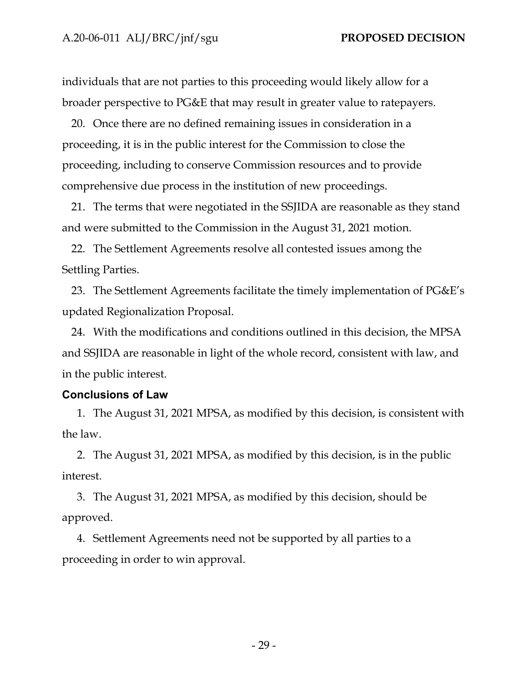individuals that are not parties to this proceeding would likely allow for a broader perspective to PG&E that may result in greater value to ratepayers.

20. Once there are no defined remaining issues in consideration in a proceeding, it is in the public interest for the Commission to close the proceeding, including to conserve Commission resources and to provide comprehensive due process in the institution of new proceedings.

21. The terms that were negotiated in the SSJIDA are reasonable as they stand and were submitted to the Commission in the August 31, 2021 motion.

22. The Settlement Agreements resolve all contested issues among the Settling Parties.

23. The Settlement Agreements facilitate the timely implementation of PG&E's updated Regionalization Proposal.

24. With the modifications and conditions outlined in this decision, the MPSA and SSJIDA are reasonable in light of the whole record, consistent with law, and in the public interest.

## <span id="page-31-0"></span>**Conclusions of Law**

1. The August 31, 2021 MPSA, as modified by this decision, is consistent with the law.

2. The August 31, 2021 MPSA, as modified by this decision, is in the public interest.

3. The August 31, 2021 MPSA, as modified by this decision, should be approved.

4. Settlement Agreements need not be supported by all parties to a proceeding in order to win approval.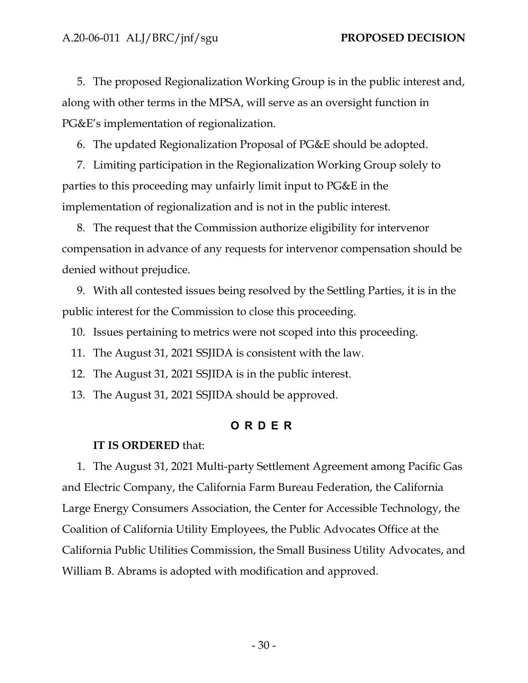5. The proposed Regionalization Working Group is in the public interest and, along with other terms in the MPSA, will serve as an oversight function in PG&E's implementation of regionalization.

6. The updated Regionalization Proposal of PG&E should be adopted.

7. Limiting participation in the Regionalization Working Group solely to parties to this proceeding may unfairly limit input to PG&E in the implementation of regionalization and is not in the public interest.

8. The request that the Commission authorize eligibility for intervenor compensation in advance of any requests for intervenor compensation should be denied without prejudice.

9. With all contested issues being resolved by the Settling Parties, it is in the public interest for the Commission to close this proceeding.

10. Issues pertaining to metrics were not scoped into this proceeding.

11. The August 31, 2021 SSJIDA is consistent with the law.

12. The August 31, 2021 SSJIDA is in the public interest.

<span id="page-32-0"></span>13. The August 31, 2021 SSJIDA should be approved.

### **O R D E R**

### **IT IS ORDERED** that:

1. The August 31, 2021 Multi-party Settlement Agreement among Pacific Gas and Electric Company, the California Farm Bureau Federation, the California Large Energy Consumers Association, the Center for Accessible Technology, the Coalition of California Utility Employees, the Public Advocates Office at the California Public Utilities Commission, the Small Business Utility Advocates, and William B. Abrams is adopted with modification and approved.